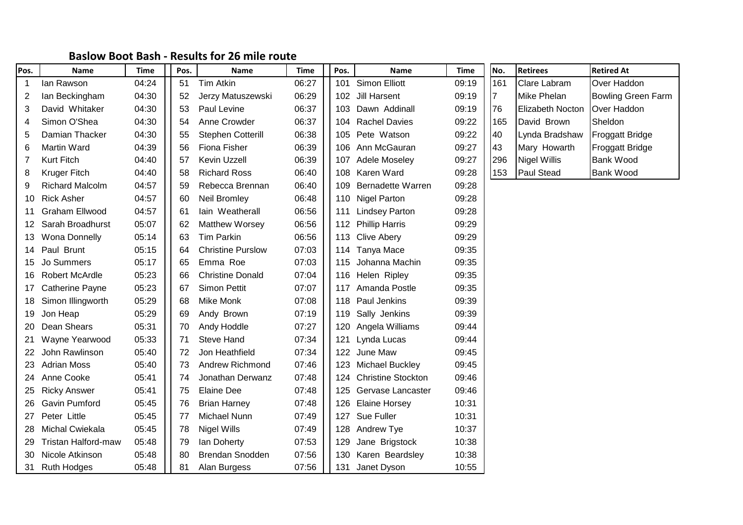## **Baslow Boot Bash - Results for 26 mile route**

| Pos. | <b>Name</b>                | Time  | Pos. | <b>Name</b>              | Time  | Pos. | <b>Name</b>              | Time  | No. | <b>Retirees</b>         | <b>Retired At</b>         |
|------|----------------------------|-------|------|--------------------------|-------|------|--------------------------|-------|-----|-------------------------|---------------------------|
| -1   | lan Rawson                 | 04:24 | 51   | Tim Atkin                | 06:27 | 101  | Simon Elliott            | 09:19 | 161 | <b>Clare Labram</b>     | Over Haddon               |
| 2    | lan Beckingham             | 04:30 | 52   | Jerzy Matuszewski        | 06:29 | 102  | Jill Harsent             | 09:19 | 7   | Mike Phelan             | <b>Bowling Green Farm</b> |
| 3    | David Whitaker             | 04:30 | 53   | Paul Levine              | 06:37 |      | 103 Dawn Addinall        | 09:19 | 76  | <b>Elizabeth Nocton</b> | Over Haddon               |
| 4    | Simon O'Shea               | 04:30 | 54   | Anne Crowder             | 06:37 |      | 104 Rachel Davies        | 09:22 | 165 | David Brown             | Sheldon                   |
| 5    | Damian Thacker             | 04:30 | 55   | <b>Stephen Cotterill</b> | 06:38 | 105  | Pete Watson              | 09:22 | 40  | Lynda Bradshaw          | <b>Froggatt Bridge</b>    |
| 6    | <b>Martin Ward</b>         | 04:39 | 56   | Fiona Fisher             | 06:39 |      | 106 Ann McGauran         | 09:27 | 43  | Mary Howarth            | <b>Froggatt Bridge</b>    |
|      | <b>Kurt Fitch</b>          | 04:40 | 57   | Kevin Uzzell             | 06:39 | 107  | Adele Moseley            | 09:27 | 296 | <b>Nigel Willis</b>     | Bank Wood                 |
| 8    | <b>Kruger Fitch</b>        | 04:40 | 58   | <b>Richard Ross</b>      | 06:40 | 108  | Karen Ward               | 09:28 | 153 | Paul Stead              | <b>Bank Wood</b>          |
| 9    | <b>Richard Malcolm</b>     | 04:57 | 59   | Rebecca Brennan          | 06:40 | 109  | <b>Bernadette Warren</b> | 09:28 |     |                         |                           |
| 10   | <b>Rick Asher</b>          | 04:57 | 60   | <b>Neil Bromley</b>      | 06:48 |      | 110 Nigel Parton         | 09:28 |     |                         |                           |
| 11   | Graham Ellwood             | 04:57 | 61   | lain Weatherall          | 06:56 | 111  | <b>Lindsey Parton</b>    | 09:28 |     |                         |                           |
| 12   | Sarah Broadhurst           | 05:07 | 62   | Matthew Worsey           | 06:56 |      | 112 Phillip Harris       | 09:29 |     |                         |                           |
| 13   | <b>Wona Donnelly</b>       | 05:14 | 63   | Tim Parkin               | 06:56 |      | 113 Clive Abery          | 09:29 |     |                         |                           |
| 14   | Paul Brunt                 | 05:15 | 64   | <b>Christine Purslow</b> | 07:03 | 114  | Tanya Mace               | 09:35 |     |                         |                           |
| 15   | Jo Summers                 | 05:17 | 65   | Emma Roe                 | 07:03 | 115  | Johanna Machin           | 09:35 |     |                         |                           |
| 16   | <b>Robert McArdle</b>      | 05:23 | 66   | <b>Christine Donald</b>  | 07:04 | 116  | Helen Ripley             | 09:35 |     |                         |                           |
| 17   | <b>Catherine Payne</b>     | 05:23 | 67   | Simon Pettit             | 07:07 | 117  | Amanda Postle            | 09:35 |     |                         |                           |
| 18   | Simon Illingworth          | 05:29 | 68   | Mike Monk                | 07:08 |      | 118 Paul Jenkins         | 09:39 |     |                         |                           |
| 19   | Jon Heap                   | 05:29 | 69   | Andy Brown               | 07:19 | 119  | Sally Jenkins            | 09:39 |     |                         |                           |
| 20   | Dean Shears                | 05:31 | 70   | Andy Hoddle              | 07:27 | 120  | Angela Williams          | 09:44 |     |                         |                           |
| 21   | Wayne Yearwood             | 05:33 | 71   | <b>Steve Hand</b>        | 07:34 | 121  | Lynda Lucas              | 09:44 |     |                         |                           |
| 22   | John Rawlinson             | 05:40 | 72   | Jon Heathfield           | 07:34 |      | 122 June Maw             | 09:45 |     |                         |                           |
| 23   | <b>Adrian Moss</b>         | 05:40 | 73   | Andrew Richmond          | 07:46 | 123  | Michael Buckley          | 09:45 |     |                         |                           |
| 24.  | Anne Cooke                 | 05:41 | 74   | Jonathan Derwanz         | 07:48 |      | 124 Christine Stockton   | 09:46 |     |                         |                           |
| 25   | <b>Ricky Answer</b>        | 05:41 | 75   | <b>Elaine Dee</b>        | 07:48 |      | 125 Gervase Lancaster    | 09:46 |     |                         |                           |
| 26   | Gavin Pumford              | 05:45 | 76   | <b>Brian Harney</b>      | 07:48 | 126. | <b>Elaine Horsey</b>     | 10:31 |     |                         |                           |
| 27   | Peter Little               | 05:45 | 77   | Michael Nunn             | 07:49 | 127  | Sue Fuller               | 10:31 |     |                         |                           |
| 28   | Michal Cwiekala            | 05:45 | 78   | Nigel Wills              | 07:49 | 128  | Andrew Tye               | 10:37 |     |                         |                           |
|      | <b>Tristan Halford-maw</b> | 05:48 | 79   | lan Doherty              | 07:53 | 129  | Jane Brigstock           | 10:38 |     |                         |                           |
| 30   | Nicole Atkinson            | 05:48 | 80   | <b>Brendan Snodden</b>   | 07:56 | 130  | Karen Beardsley          | 10:38 |     |                         |                           |
| 31.  | <b>Ruth Hodges</b>         | 05:48 | 81   | Alan Burgess             | 07:56 | 131  | Janet Dyson              | 10:55 |     |                         |                           |

|  | No. | <b>Retirees</b>   | <b>Retired At</b>         |  |  |  |  |
|--|-----|-------------------|---------------------------|--|--|--|--|
|  | 161 | Clare Labram      | Over Haddon               |  |  |  |  |
|  |     | Mike Phelan       | <b>Bowling Green Farm</b> |  |  |  |  |
|  | 76  | Elizabeth Nocton  | Over Haddon               |  |  |  |  |
|  | 165 | David Brown       | Sheldon                   |  |  |  |  |
|  | 40  | Lynda Bradshaw    | Froggatt Bridge           |  |  |  |  |
|  | 43  | Mary Howarth      | Froggatt Bridge           |  |  |  |  |
|  | 296 | Nigel Willis      | <b>Bank Wood</b>          |  |  |  |  |
|  | 153 | <b>Paul Stead</b> | Bank Wood                 |  |  |  |  |